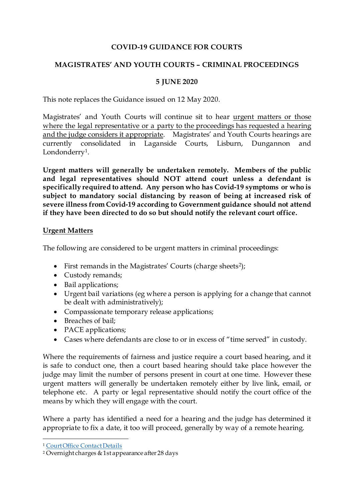# **COVID-19 GUIDANCE FOR COURTS**

# **MAGISTRATES' AND YOUTH COURTS – CRIMINAL PROCEEDINGS**

## **5 JUNE 2020**

This note replaces the Guidance issued on 12 May 2020.

Magistrates' and Youth Courts will continue sit to hear urgent matters or those where the legal representative or a party to the proceedings has requested a hearing and the judge considers it appropriate. Magistrates' and Youth Courts hearings are currently consolidated in Laganside Courts, Lisburn, Dungannon and Londonderry<sup>[1](#page-0-0)</sup>.

**Urgent matters will generally be undertaken remotely. Members of the public and legal representatives should NOT attend court unless a defendant is specifically required to attend. Any person who has Covid-19 symptoms or who is subject to mandatory social distancing by reason of being at increased risk of severe illness from Covid-19 according to Government guidance should not attend if they have been directed to do so but should notify the relevant court office.**

### **Urgent Matters**

The following are considered to be urgent matters in criminal proceedings:

- First remands in the Magistrates' Courts (charge sheets<sup>2</sup>);
- Custody remands;
- Bail applications;
- Urgent bail variations (eg where a person is applying for a change that cannot be dealt with administratively);
- Compassionate temporary release applications;
- Breaches of bail;
- PACE applications;
- Cases where defendants are close to or in excess of "time served" in custody.

Where the requirements of fairness and justice require a court based hearing, and it is safe to conduct one, then a court based hearing should take place however the judge may limit the number of persons present in court at one time. However these urgent matters will generally be undertaken remotely either by live link, email, or telephone etc. A party or legal representative should notify the court office of the means by which they will engage with the court.

Where a party has identified a need for a hearing and the judge has determined it appropriate to fix a date, it too will proceed, generally by way of a remote hearing.

<span id="page-0-0"></span> <sup>1</sup> [Court Office Contact Details](https://judiciaryni.uk/sites/judiciary/files/media-files/ANNEX%20A%20%20Business%20Continuity%20Covid%2019%20-%20Court%20Office%20Contact%20Details%20-%2023.03.20_2.pdf)

<span id="page-0-1"></span><sup>2</sup> Overnight charges & 1st appearance after 28 days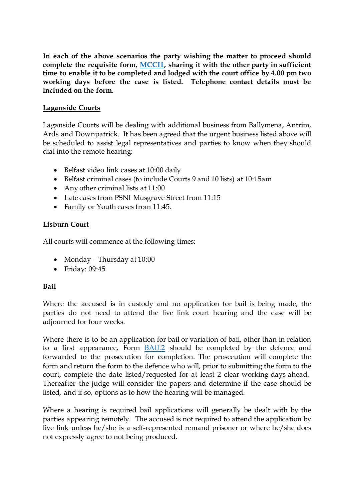**In each of the above scenarios the party wishing the matter to proceed should complete the requisite form, [MCCI1](https://judiciaryni.uk/sites/judiciary/files/media-files/FORM%20MCCI1%20%20Magistrates%20%20Court%20Business%20Continuity%20Covid%2019%20%2012.5.20.DOC), sharing it with the other party in sufficient time to enable it to be completed and lodged with the court office by 4.00 pm two working days before the case is listed. Telephone contact details must be included on the form.**

# **Laganside Courts**

Laganside Courts will be dealing with additional business from Ballymena, Antrim, Ards and Downpatrick. It has been agreed that the urgent business listed above will be scheduled to assist legal representatives and parties to know when they should dial into the remote hearing:

- Belfast video link cases at 10:00 daily
- Belfast criminal cases (to include Courts 9 and 10 lists) at 10:15am
- Any other criminal lists at 11:00
- Late cases from PSNI Musgrave Street from 11:15
- Family or Youth cases from 11:45.

### **Lisburn Court**

All courts will commence at the following times:

- Monday Thursday at 10:00
- Friday: 09:45

### **Bail**

Where the accused is in custody and no application for bail is being made, the parties do not need to attend the live link court hearing and the case will be adjourned for four weeks.

Where there is to be an application for bail or variation of bail, other than in relation to a first appearance, Form [BAIL2](https://judiciaryni.uk/sites/judiciary/files/media-files/FORM%20BAIL2%20%20Magistrates%20%20Court%20Bail%20Application%20Variation%20Form%20V4.0%20Issued%2011.5.20.DOC) should be completed by the defence and forwarded to the prosecution for completion. The prosecution will complete the form and return the form to the defence who will, prior to submitting the form to the court, complete the date listed/requested for at least 2 clear working days ahead. Thereafter the judge will consider the papers and determine if the case should be listed, and if so, options as to how the hearing will be managed.

Where a hearing is required bail applications will generally be dealt with by the parties appearing remotely. The accused is not required to attend the application by live link unless he/she is a self-represented remand prisoner or where he/she does not expressly agree to not being produced.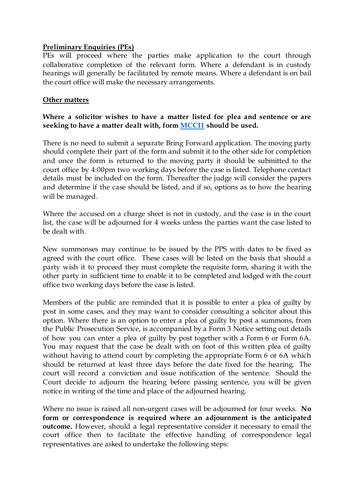## **Preliminary Enquiries (PEs)**

PEs will proceed where the parties make application to the court through collaborative completion of the relevant form. Where a defendant is in custody hearings will generally be facilitated by remote means. Where a defendant is on bail the court office will make the necessary arrangements.

## **Other matters**

**Where a solicitor wishes to have a matter listed for plea and sentence or are seeking to have a matter dealt with, for[m MCCI1](https://judiciaryni.uk/sites/judiciary/files/media-files/FORM%20MCCI1%20%20Magistrates%20%20Court%20Business%20Continuity%20Covid%2019%20%2012.5.20.DOC) should be used.**

There is no need to submit a separate Bring Forward application. The moving party should complete their part of the form and submit it to the other side for completion and once the form is returned to the moving party it should be submitted to the court office by 4:00pm two working days before the case is listed. Telephone contact details must be included on the form. Thereafter the judge will consider the papers and determine if the case should be listed, and if so, options as to how the hearing will be managed.

Where the accused on a charge sheet is not in custody, and the case is in the court list, the case will be adjourned for 4 weeks unless the parties want the case listed to be dealt with.

New summonses may continue to be issued by the PPS with dates to be fixed as agreed with the court office. These cases will be listed on the basis that should a party wish it to proceed they must complete the requisite form, sharing it with the other party in sufficient time to enable it to be completed and lodged with the court office two working days before the case is listed.

Members of the public are reminded that it is possible to enter a plea of guilty by post in some cases, and they may want to consider consulting a solicitor about this option. Where there is an option to enter a plea of guilty by post a summons, from the Public Prosecution Service, is accompanied by a Form 3 Notice setting out details of how you can enter a plea of guilty by post together with a Form 6 or Form 6A. You may request that the case be dealt with on foot of this written plea of guilty without having to attend court by completing the appropriate Form 6 or 6A which should be returned at least three days before the date fixed for the hearing. The court will record a conviction and issue notification of the sentence. Should the Court decide to adjourn the hearing before passing sentence, you will be given notice in writing of the time and place of the adjourned hearing.

Where no issue is raised all non-urgent cases will be adjourned for four weeks. **No form or correspondence is required where an adjournment is the anticipated outcome.** However, should a legal representative consider it necessary to email the court office then to facilitate the effective handling of correspondence legal representatives are asked to undertake the following steps: